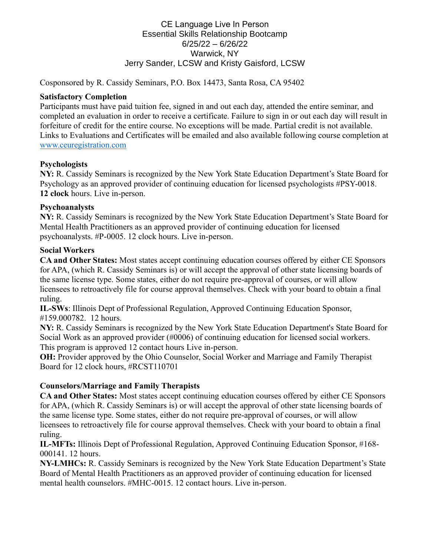## CE Language Live In Person Essential Skills Relationship Bootcamp 6/25/22 – 6/26/22 Warwick, NY Jerry Sander, LCSW and Kristy Gaisford, LCSW

Cosponsored by R. Cassidy Seminars, P.O. Box 14473, Santa Rosa, CA 95402

#### **Satisfactory Completion**

Participants must have paid tuition fee, signed in and out each day, attended the entire seminar, and completed an evaluation in order to receive a certificate. Failure to sign in or out each day will result in forfeiture of credit for the entire course. No exceptions will be made. Partial credit is not available. Links to Evaluations and Certificates will be emailed and also available following course completion at [www.ceuregistration.com](http://www.ceuregistration.com/)

## **Psychologists**

**NY:** R. Cassidy Seminars is recognized by the New York State Education Department's State Board for Psychology as an approved provider of continuing education for licensed psychologists #PSY-0018. **12 clock** hours. Live in-person.

#### **Psychoanalysts**

**NY:** R. Cassidy Seminars is recognized by the New York State Education Department's State Board for Mental Health Practitioners as an approved provider of continuing education for licensed psychoanalysts. #P-0005. 12 clock hours. Live in-person.

#### **Social Workers**

**CA and Other States:** Most states accept continuing education courses offered by either CE Sponsors for APA, (which R. Cassidy Seminars is) or will accept the approval of other state licensing boards of the same license type. Some states, either do not require pre-approval of courses, or will allow licensees to retroactively file for course approval themselves. Check with your board to obtain a final ruling.

**IL-SWs**: Illinois Dept of Professional Regulation, Approved Continuing Education Sponsor, #159.000782. 12 hours.

**NY:** R. Cassidy Seminars is recognized by the New York State Education Department's State Board for Social Work as an approved provider (#0006) of continuing education for licensed social workers. This program is approved 12 contact hours Live in-person.

**OH:** Provider approved by the Ohio Counselor, Social Worker and Marriage and Family Therapist Board for 12 clock hours, #RCST110701

# **Counselors/Marriage and Family Therapists**

**CA and Other States:** Most states accept continuing education courses offered by either CE Sponsors for APA, (which R. Cassidy Seminars is) or will accept the approval of other state licensing boards of the same license type. Some states, either do not require pre-approval of courses, or will allow licensees to retroactively file for course approval themselves. Check with your board to obtain a final ruling.

**IL-MFTs:** Illinois Dept of Professional Regulation, Approved Continuing Education Sponsor, #168- 000141. 12 hours.

**NY-LMHCs:** R. Cassidy Seminars is recognized by the New York State Education Department's State Board of Mental Health Practitioners as an approved provider of continuing education for licensed mental health counselors. #MHC-0015. 12 contact hours. Live in-person.